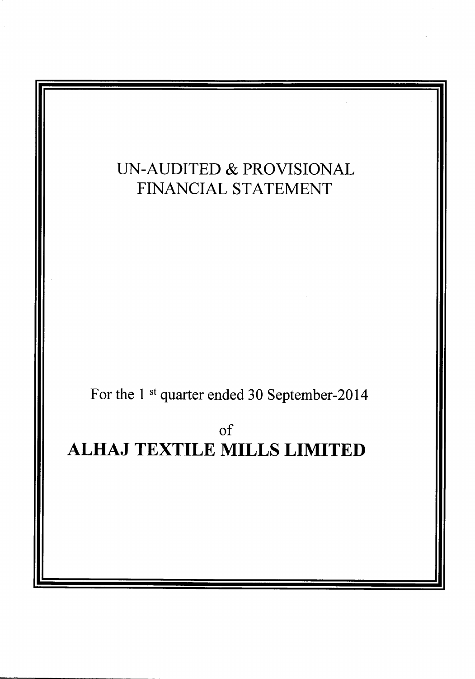# UN-AUDITED & PROVISIONAL FINANCIAL STATEMENT For the 1<sup>st</sup> quarter ended 30 September-2014  $\sigma$ **ALHAJ TEXTILE MILLS LIMITED**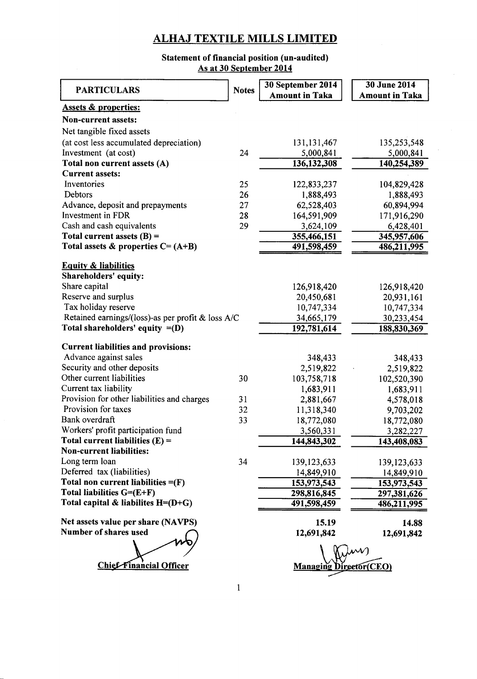## Statement of financial position (un-audited) As at 30 September 2014

| <b>PARTICULARS</b>                                       | <b>Notes</b> | 30 September 2014<br><b>Amount in Taka</b> | 30 June 2014<br><b>Amount in Taka</b> |
|----------------------------------------------------------|--------------|--------------------------------------------|---------------------------------------|
| <b>Assets &amp; properties:</b>                          |              |                                            |                                       |
| <b>Non-current assets:</b>                               |              |                                            |                                       |
| Net tangible fixed assets                                |              |                                            |                                       |
| (at cost less accumulated depreciation)                  |              | 131, 131, 467                              | 135,253,548                           |
| Investment (at cost)                                     | 24           | 5,000,841                                  | 5,000,841                             |
| Total non current assets (A)                             |              | 136,132,308                                | 140,254,389                           |
| <b>Current assets:</b>                                   |              |                                            |                                       |
| Inventories                                              | 25           | 122,833,237                                | 104,829,428                           |
| Debtors                                                  | 26           | 1,888,493                                  | 1,888,493                             |
| Advance, deposit and prepayments                         | 27           | 62,528,403                                 | 60,894,994                            |
| Investment in FDR                                        | 28           | 164,591,909                                | 171,916,290                           |
| Cash and cash equivalents                                | 29           | 3,624,109                                  | 6,428,401                             |
| Total current assets $(B)$ =                             |              | 355,466,151                                | 345,957,606                           |
| Total assets & properties $C = (A+B)$                    |              | 491,598,459                                | 486,211,995                           |
| <b>Equity &amp; liabilities</b><br>Shareholders' equity: |              |                                            |                                       |
| Share capital                                            |              | 126,918,420                                | 126,918,420                           |
| Reserve and surplus                                      |              | 20,450,681                                 | 20,931,161                            |
| Tax holiday reserve                                      |              | 10,747,334                                 | 10,747,334                            |
| Retained earnings/(loss)-as per profit & loss A/C        |              | 34,665,179                                 | 30,233,454                            |
| Total shareholders' equity $= (D)$                       |              | 192,781,614                                | 188,830,369                           |
| <b>Current liabilities and provisions:</b>               |              |                                            |                                       |
| Advance against sales                                    |              | 348,433                                    | 348,433                               |
| Security and other deposits                              |              | 2,519,822                                  | 2,519,822                             |
| Other current liabilities                                | 30           | 103,758,718                                | 102,520,390                           |
| Current tax liability                                    |              | 1,683,911                                  | 1,683,911                             |
| Provision for other liabilities and charges              | 31           | 2,881,667                                  | 4,578,018                             |
| Provision for taxes                                      | 32           | 11,318,340                                 | 9,703,202                             |
| Bank overdraft                                           | 33           | 18,772,080                                 | 18,772,080                            |
| Workers' profit participation fund                       |              | 3,560,331                                  | 3,282,227                             |
| Total current liabilities $(E)$ =                        |              | 144,843,302                                | 143,408,083                           |
| <b>Non-current liabilities:</b>                          |              |                                            |                                       |
| Long term loan                                           | 34           | 139, 123, 633                              | 139, 123, 633                         |
| Deferred tax (liabilities)                               |              | 14,849,910                                 | 14,849,910                            |
| Total non current liabilities $= (F)$                    |              | 153,973,543                                | 153,973,543                           |
| Total liabilities $G=(E+F)$                              |              | 298,816,845                                | 297,381,626                           |
| Total capital & liabilites $H=(D+G)$                     |              | 491,598,459                                | 486,211,995                           |
| Net assets value per share (NAVPS)                       |              | 15.19                                      | 14.88                                 |
| Number of shares used                                    |              | 12,691,842                                 | 12,691,842                            |
|                                                          |              |                                            |                                       |
| <b>Chief-Financial Officer</b>                           |              | <b>Managing Director(CEO)</b>              |                                       |

 $\mathbf{1}$ 

 $\overline{\phantom{a}}$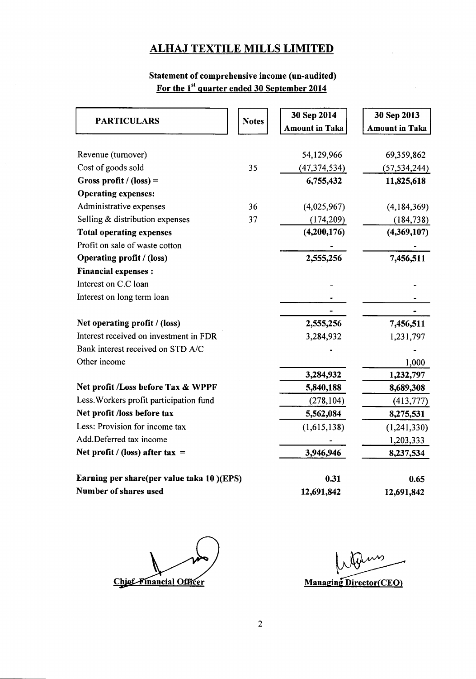# Statement of comprehensive income (un-audited) For the 1<sup>st</sup> quarter ended 30 September 2014

| <b>PARTICULARS</b>                        | <b>Notes</b> | 30 Sep 2014<br><b>Amount in Taka</b> | 30 Sep 2013<br><b>Amount in Taka</b> |
|-------------------------------------------|--------------|--------------------------------------|--------------------------------------|
| Revenue (turnover)                        |              | 54,129,966                           | 69,359,862                           |
| Cost of goods sold                        | 35           | (47, 374, 534)                       | (57, 534, 244)                       |
| Gross profit / $(\text{loss}) =$          |              | 6,755,432                            | 11,825,618                           |
| <b>Operating expenses:</b>                |              |                                      |                                      |
| Administrative expenses                   | 36           | (4,025,967)                          | (4,184,369)                          |
| Selling & distribution expenses           | 37           | (174, 209)                           | (184, 738)                           |
| <b>Total operating expenses</b>           |              | (4,200,176)                          | (4,369,107)                          |
| Profit on sale of waste cotton            |              |                                      |                                      |
| <b>Operating profit / (loss)</b>          |              | 2,555,256                            | 7,456,511                            |
| <b>Financial expenses:</b>                |              |                                      |                                      |
| Interest on C.C loan                      |              |                                      |                                      |
| Interest on long term loan                |              |                                      |                                      |
|                                           |              |                                      |                                      |
| Net operating profit / (loss)             |              | 2,555,256                            | 7,456,511                            |
| Interest received on investment in FDR    |              | 3,284,932                            | 1,231,797                            |
| Bank interest received on STD A/C         |              |                                      |                                      |
| Other income                              |              |                                      | 1,000                                |
|                                           |              | 3,284,932                            | 1,232,797                            |
| Net profit /Loss before Tax & WPPF        |              | 5,840,188                            | 8,689,308                            |
| Less. Workers profit participation fund   |              | (278, 104)                           | (413, 777)                           |
| Net profit /loss before tax               |              | 5,562,084                            | 8,275,531                            |
| Less: Provision for income tax            |              | (1,615,138)                          | (1,241,330)                          |
| Add.Deferred tax income                   |              |                                      | 1,203,333                            |
| Net profit / (loss) after tax $=$         |              | 3,946,946                            | 8,237,534                            |
| Earning per share(per value taka 10)(EPS) |              | 0.31                                 | 0.65                                 |
| Number of shares used                     |              | 12,691,842                           | 12,691,842                           |

Chief Financial Officer

 $\mathcal{N}$ Managing Director(CEO)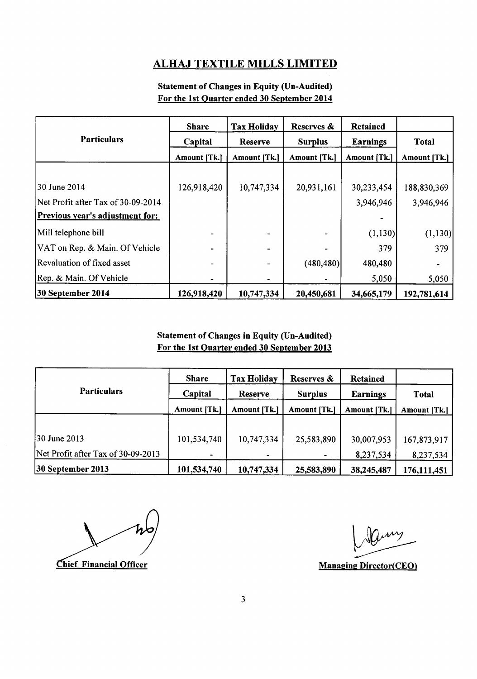## Statement of Changes in Equity (Un-Audited) For the 1st Quarter ended 30 September 2014

|                                    | <b>Share</b>        | <b>Tax Holiday</b> |                | <b>Retained</b> |                     |
|------------------------------------|---------------------|--------------------|----------------|-----------------|---------------------|
| <b>Particulars</b>                 | Capital             | <b>Reserve</b>     | <b>Surplus</b> | <b>Earnings</b> | <b>Total</b>        |
|                                    | <b>Amount [Tk.]</b> | Amount [Tk.]       | Amount [Tk.]   | Amount [Tk.]    | <b>Amount [Tk.]</b> |
|                                    |                     |                    |                |                 |                     |
| 30 June 2014                       | 126,918,420         | 10,747,334         | 20,931,161     | 30,233,454      | 188,830,369         |
| Net Profit after Tax of 30-09-2014 |                     |                    |                | 3,946,946       | 3,946,946           |
| Previous year's adjustment for:    |                     |                    |                |                 |                     |
| Mill telephone bill                |                     |                    |                | (1,130)         | (1,130)             |
| VAT on Rep. & Main. Of Vehicle     |                     |                    |                | 379             | 379                 |
| Revaluation of fixed asset         |                     |                    | (480, 480)     | 480,480         |                     |
| Rep. & Main. Of Vehicle            |                     |                    |                | 5,050           | 5,050               |
| 30 September 2014                  | 126,918,420         | 10,747,334         | 20,450,681     | 34,665,179      | 192,781,614         |

Statement of Changes in Equity (Un-Audited) For the lst Ouarter ended 30 September 2013

|                                    | <b>Share</b>              | <b>Tax Holiday</b> | Reserves &     | <b>Retained</b> |              |
|------------------------------------|---------------------------|--------------------|----------------|-----------------|--------------|
| <b>Particulars</b>                 | Capital<br><b>Reserve</b> |                    | <b>Surplus</b> | <b>Earnings</b> | <b>Total</b> |
|                                    | Amount [Tk.]              | Amount [Tk.]       | Amount [Tk.]   | Amount [Tk.]    | Amount [Tk.] |
|                                    |                           |                    |                |                 |              |
| 30 June 2013                       | 101,534,740               | 10,747,334         | 25,583,890     | 30,007,953      | 167,873,917  |
| Net Profit after Tax of 30-09-2013 |                           |                    |                | 8,237,534       | 8,237,534    |
| $ 30$ September 2013               | 101,534,740               | 10,747,334         | 25,583,890     | 38,245,487      | 176,111,451  |

Chief Financial Officer

1 rams

**Managing Director(CEO)**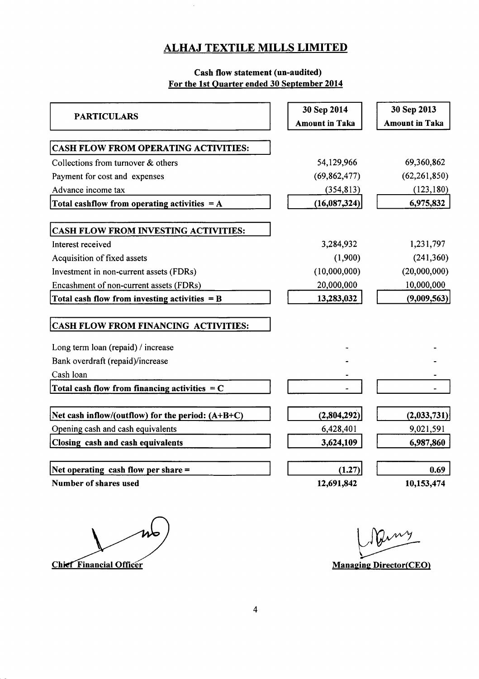## Cash flow statement (un-audited) For the lst Ouarter ended 30 September 2014

|                                                   | 30 Sep 2014           | 30 Sep 2013           |
|---------------------------------------------------|-----------------------|-----------------------|
| <b>PARTICULARS</b>                                | <b>Amount in Taka</b> | <b>Amount in Taka</b> |
| CASH FLOW FROM OPERATING ACTIVITIES:              |                       |                       |
| Collections from turnover & others                | 54,129,966            | 69,360,862            |
| Payment for cost and expenses                     | (69, 862, 477)        | (62, 261, 850)        |
| Advance income tax                                | (354, 813)            | (123, 180)            |
| Total cashflow from operating activities $= A$    | (16,087,324)          | 6,975,832             |
| CASH FLOW FROM INVESTING ACTIVITIES:              |                       |                       |
| Interest received                                 | 3,284,932             | 1,231,797             |
| Acquisition of fixed assets                       | (1,900)               | (241, 360)            |
| Investment in non-current assets (FDRs)           | (10,000,000)          | (20,000,000)          |
| Encashment of non-current assets (FDRs)           | 20,000,000            | 10,000,000            |
| Total cash flow from investing activities $= B$   | 13,283,032            | (9,009,563)           |
| CASH FLOW FROM FINANCING ACTIVITIES:              |                       |                       |
| Long term loan (repaid) / increase                |                       |                       |
| Bank overdraft (repaid)/increase                  |                       |                       |
| Cash loan                                         |                       |                       |
| Total cash flow from financing activities $=C$    |                       |                       |
| Net cash inflow/(outflow) for the period: (A+B+C) | (2,804,292)           | (2,033,731)           |
| Opening cash and cash equivalents                 | 6,428,401             | 9,021,591             |
| Closing cash and cash equivalents                 | 3,624,109             | 6,987,860             |
| Net operating cash flow per share $=$             | (1.27)                | 0.69                  |
| Number of shares used                             | 12,691,842            | 10,153,474            |

w

ainy **Chief Financial Officer** Chief Theoretic Managing Director(CEO)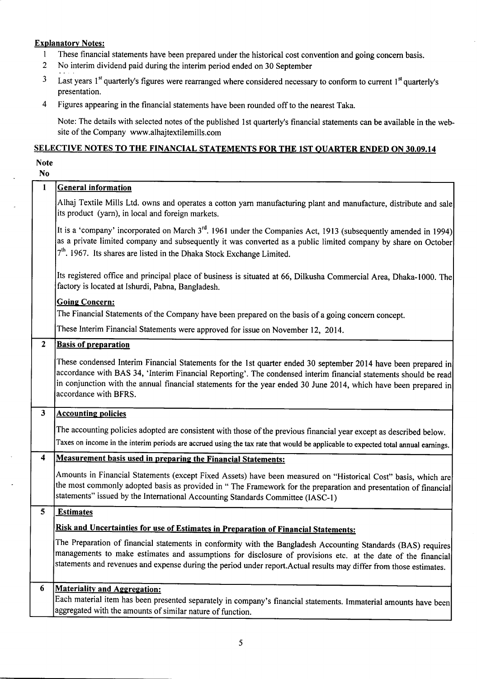## **Explanatory Notes:**

- I These financial statements have been prepared under the historical cost convention and going concern basis.<br>2 No interim dividend paid during the interim period ended on 30 September
- 2 No interim dividend paid during the interim period ended on 30 September
- $3$  Last years 1<sup>st</sup> quarterly's figures were rearranged where considered necessary to conform to current 1<sup>st</sup> quarterly's presentation.
- 4 Figures appearing in the financial statements have been rounded offto the nearest Taka.

Note: The details with selected notes of the published lst quarterly's financial statements can be available in the website of the Company www.alhajtextilemills.com

### SELECTIVE NOTES TO THE FINANCIAL STATEMENTS FOR THE 1ST QUARTER ENDED ON 30.09.14

## Note

| ×  | ÷<br>I |
|----|--------|
| ۰, |        |

| $\mathbf{1}$            | <b>General information</b>                                                                                                                                                                                                                                                                                                                                                      |
|-------------------------|---------------------------------------------------------------------------------------------------------------------------------------------------------------------------------------------------------------------------------------------------------------------------------------------------------------------------------------------------------------------------------|
|                         | Alhaj Textile Mills Ltd. owns and operates a cotton yarn manufacturing plant and manufacture, distribute and sale<br>its product (yarn), in local and foreign markets.                                                                                                                                                                                                          |
|                         | It is a 'company' incorporated on March $3^{rd}$ . 1961 under the Companies Act, 1913 (subsequently amended in 1994)<br>as a private limited company and subsequently it was converted as a public limited company by share on October<br>$7th$ . 1967. Its shares are listed in the Dhaka Stock Exchange Limited.                                                              |
|                         | Its registered office and principal place of business is situated at 66, Dilkusha Commercial Area, Dhaka-1000. The<br>factory is located at Ishurdi, Pabna, Bangladesh.                                                                                                                                                                                                         |
|                         | <b>Going Concern:</b>                                                                                                                                                                                                                                                                                                                                                           |
|                         | The Financial Statements of the Company have been prepared on the basis of a going concern concept.                                                                                                                                                                                                                                                                             |
|                         | These Interim Financial Statements were approved for issue on November 12, 2014.                                                                                                                                                                                                                                                                                                |
| $\mathbf{2}$            | <b>Basis of preparation</b>                                                                                                                                                                                                                                                                                                                                                     |
|                         | These condensed Interim Financial Statements for the 1st quarter ended 30 september 2014 have been prepared in<br>accordance with BAS 34, 'Interim Financial Reporting'. The condensed interim financial statements should be read<br>in conjunction with the annual financial statements for the year ended 30 June 2014, which have been prepared in<br>accordance with BFRS. |
| $\overline{\mathbf{3}}$ | <b>Accounting policies</b>                                                                                                                                                                                                                                                                                                                                                      |
|                         | The accounting policies adopted are consistent with those of the previous financial year except as described below.                                                                                                                                                                                                                                                             |
|                         | Taxes on income in the interim periods are accrued using the tax rate that would be applicable to expected total annual earnings.                                                                                                                                                                                                                                               |
| $\blacktriangleleft$    | <b>Measurement basis used in preparing the Financial Statements:</b>                                                                                                                                                                                                                                                                                                            |
|                         | Amounts in Financial Statements (except Fixed Assets) have been measured on "Historical Cost" basis, which are<br>the most commonly adopted basis as provided in "The Framework for the preparation and presentation of financial<br>statements" issued by the International Accounting Standards Committee (IASC-1)                                                            |
| 5                       | <b>Estimates</b>                                                                                                                                                                                                                                                                                                                                                                |
|                         | Risk and Uncertainties for use of Estimates in Preparation of Financial Statements:                                                                                                                                                                                                                                                                                             |
|                         | The Preparation of financial statements in conformity with the Bangladesh Accounting Standards (BAS) requires<br>managements to make estimates and assumptions for disclosure of provisions etc. at the date of the financial<br>statements and revenues and expense during the period under report. Actual results may differ from those estimates.                            |
| 6                       | <b>Materiality and Aggregation:</b><br>Each material item has been presented separately in company's financial statements. Immaterial amounts have been<br>aggregated with the amounts of similar nature of function.                                                                                                                                                           |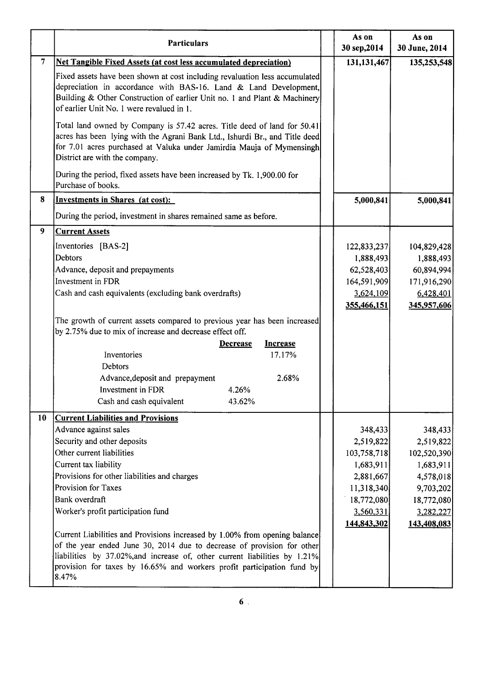|                | <b>Particulars</b>                                                                                                                                                                                                                                                                                                                                                                                                                                                                                                                                                                                              | As on<br>30 sep, 2014                                                                                                 | As on<br>30 June, 2014                                                                                               |
|----------------|-----------------------------------------------------------------------------------------------------------------------------------------------------------------------------------------------------------------------------------------------------------------------------------------------------------------------------------------------------------------------------------------------------------------------------------------------------------------------------------------------------------------------------------------------------------------------------------------------------------------|-----------------------------------------------------------------------------------------------------------------------|----------------------------------------------------------------------------------------------------------------------|
| $\overline{7}$ | <b>Net Tangible Fixed Assets (at cost less accumulated depreciation)</b>                                                                                                                                                                                                                                                                                                                                                                                                                                                                                                                                        | 131, 131, 467                                                                                                         | 135,253,548                                                                                                          |
|                | Fixed assets have been shown at cost including revaluation less accumulated<br>depreciation in accordance with BAS-16. Land & Land Development,<br>Building & Other Construction of earlier Unit no. 1 and Plant & Machinery<br>of earlier Unit No. 1 were revalued in 1.                                                                                                                                                                                                                                                                                                                                       |                                                                                                                       |                                                                                                                      |
|                | Total land owned by Company is 57.42 acres. Title deed of land for 50.41<br>acres has been lying with the Agrani Bank Ltd., Ishurdi Br., and Title deed<br>for 7.01 acres purchased at Valuka under Jamirdia Mauja of Mymensingh<br>District are with the company.                                                                                                                                                                                                                                                                                                                                              |                                                                                                                       |                                                                                                                      |
|                | During the period, fixed assets have been increased by Tk. 1,900.00 for<br>Purchase of books.                                                                                                                                                                                                                                                                                                                                                                                                                                                                                                                   |                                                                                                                       |                                                                                                                      |
| 8              | <b>Investments in Shares (at cost):</b>                                                                                                                                                                                                                                                                                                                                                                                                                                                                                                                                                                         | 5,000,841                                                                                                             | 5,000,841                                                                                                            |
|                | During the period, investment in shares remained same as before.                                                                                                                                                                                                                                                                                                                                                                                                                                                                                                                                                |                                                                                                                       |                                                                                                                      |
| 9              | <b>Current Assets</b>                                                                                                                                                                                                                                                                                                                                                                                                                                                                                                                                                                                           |                                                                                                                       |                                                                                                                      |
|                | Inventories [BAS-2]<br><b>Debtors</b><br>Advance, deposit and prepayments<br>Investment in FDR<br>Cash and cash equivalents (excluding bank overdrafts)                                                                                                                                                                                                                                                                                                                                                                                                                                                         | 122,833,237<br>1,888,493<br>62,528,403<br>164,591,909<br>3,624,109<br>355,466,151                                     | 104,829,428<br>1,888,493<br>60,894,994<br>171,916,290<br>6,428,401<br>345,957,606                                    |
|                | The growth of current assets compared to previous year has been increased<br>by 2.75% due to mix of increase and decrease effect off.<br><b>Increase</b><br><b>Decrease</b><br>Inventories<br>17.17%<br>Debtors<br>Advance, deposit and prepayment<br>2.68%<br>Investment in FDR<br>4.26%<br>Cash and cash equivalent<br>43.62%                                                                                                                                                                                                                                                                                 |                                                                                                                       |                                                                                                                      |
| 10             | <b>Current Liabilities and Provisions</b><br>Advance against sales<br>Security and other deposits<br>Other current liabilities<br>Current tax liability<br>Provisions for other liabilities and charges<br>Provision for Taxes<br>Bank overdraft<br>Worker's profit participation fund<br>Current Liabilities and Provisions increased by 1.00% from opening balance<br>of the year ended June 30, 2014 due to decrease of provision for other<br>liabilities by 37.02%, and increase of, other current liabilities by 1.21%<br>provision for taxes by 16.65% and workers profit participation fund by<br>8.47% | 348,433<br>2,519,822<br>103,758,718<br>1,683,911<br>2,881,667<br>11,318,340<br>18,772,080<br>3,560,331<br>144,843,302 | 348,433<br>2,519,822<br>102,520,390<br>1,683,911<br>4,578,018<br>9,703,202<br>18,772,080<br>3,282,227<br>143,408,083 |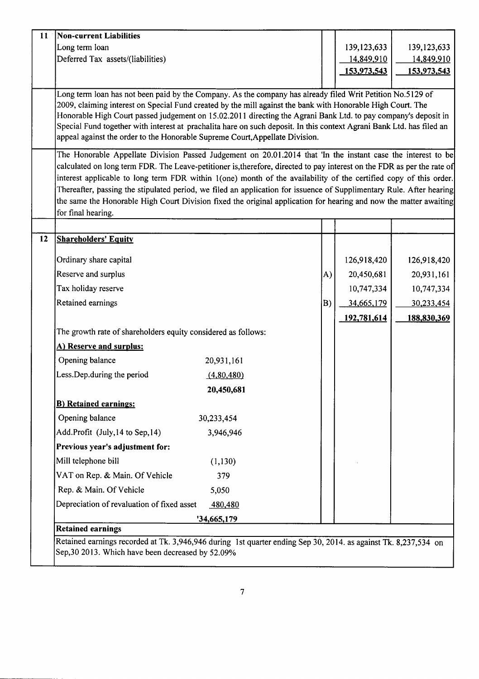| 11 | <b>Non-current Liabilities</b>                                                                                                                                                                                                                                                                                                                                                                                                                                                                                                                                                                                                  |             |    |               |               |
|----|---------------------------------------------------------------------------------------------------------------------------------------------------------------------------------------------------------------------------------------------------------------------------------------------------------------------------------------------------------------------------------------------------------------------------------------------------------------------------------------------------------------------------------------------------------------------------------------------------------------------------------|-------------|----|---------------|---------------|
|    | Long term loan                                                                                                                                                                                                                                                                                                                                                                                                                                                                                                                                                                                                                  |             |    | 139, 123, 633 | 139, 123, 633 |
|    | Deferred Tax assets/(liabilities)                                                                                                                                                                                                                                                                                                                                                                                                                                                                                                                                                                                               |             |    | 14,849,910    | 14,849,910    |
|    |                                                                                                                                                                                                                                                                                                                                                                                                                                                                                                                                                                                                                                 |             |    | 153,973,543   | 153,973,543   |
|    | Long term loan has not been paid by the Company. As the company has already filed Writ Petition No.5129 of<br>2009, claiming interest on Special Fund created by the mill against the bank with Honorable High Court. The<br>Honorable High Court passed judgement on 15.02.2011 directing the Agrani Bank Ltd. to pay company's deposit in<br>Special Fund together with interest at prachalita hare on such deposit. In this context Agrani Bank Ltd. has filed an<br>appeal against the order to the Honorable Supreme Court, Appellate Division.                                                                            |             |    |               |               |
|    | The Honorable Appellate Division Passed Judgement on 20.01.2014 that 'In the instant case the interest to be<br>calculated on long term FDR. The Leave-petitioner is, therefore, directed to pay interest on the FDR as per the rate of<br>interest applicable to long term FDR within 1(one) month of the availability of the certified copy of this order.<br>Thereafter, passing the stipulated period, we filed an application for issuence of Supplimentary Rule. After hearing<br>the same the Honorable High Court Division fixed the original application for hearing and now the matter awaiting<br>for final hearing. |             |    |               |               |
| 12 | <b>Shareholders' Equity</b>                                                                                                                                                                                                                                                                                                                                                                                                                                                                                                                                                                                                     |             |    |               |               |
|    | Ordinary share capital                                                                                                                                                                                                                                                                                                                                                                                                                                                                                                                                                                                                          |             |    | 126,918,420   | 126,918,420   |
|    | Reserve and surplus                                                                                                                                                                                                                                                                                                                                                                                                                                                                                                                                                                                                             |             | A) | 20,450,681    | 20,931,161    |
|    | Tax holiday reserve                                                                                                                                                                                                                                                                                                                                                                                                                                                                                                                                                                                                             |             |    | 10,747,334    | 10,747,334    |
|    | Retained earnings                                                                                                                                                                                                                                                                                                                                                                                                                                                                                                                                                                                                               |             | B) | 34,665,179    | 30,233,454    |
|    |                                                                                                                                                                                                                                                                                                                                                                                                                                                                                                                                                                                                                                 |             |    | 192,781,614   | 188,830,369   |
|    | The growth rate of shareholders equity considered as follows:                                                                                                                                                                                                                                                                                                                                                                                                                                                                                                                                                                   |             |    |               |               |
|    | A) Reserve and surplus:                                                                                                                                                                                                                                                                                                                                                                                                                                                                                                                                                                                                         |             |    |               |               |
|    | Opening balance                                                                                                                                                                                                                                                                                                                                                                                                                                                                                                                                                                                                                 | 20,931,161  |    |               |               |
|    | Less. Dep. during the period                                                                                                                                                                                                                                                                                                                                                                                                                                                                                                                                                                                                    | (4,80,480)  |    |               |               |
|    |                                                                                                                                                                                                                                                                                                                                                                                                                                                                                                                                                                                                                                 | 20,450,681  |    |               |               |
|    | <b>B)</b> Retained earnings:                                                                                                                                                                                                                                                                                                                                                                                                                                                                                                                                                                                                    |             |    |               |               |
|    | Opening balance                                                                                                                                                                                                                                                                                                                                                                                                                                                                                                                                                                                                                 | 30,233,454  |    |               |               |
|    | Add.Profit (July, 14 to Sep, 14)                                                                                                                                                                                                                                                                                                                                                                                                                                                                                                                                                                                                | 3,946,946   |    |               |               |
|    | Previous year's adjustment for:                                                                                                                                                                                                                                                                                                                                                                                                                                                                                                                                                                                                 |             |    |               |               |
|    | Mill telephone bill                                                                                                                                                                                                                                                                                                                                                                                                                                                                                                                                                                                                             | (1, 130)    |    |               |               |
|    | VAT on Rep. & Main. Of Vehicle                                                                                                                                                                                                                                                                                                                                                                                                                                                                                                                                                                                                  | 379         |    |               |               |
|    | Rep. & Main. Of Vehicle                                                                                                                                                                                                                                                                                                                                                                                                                                                                                                                                                                                                         | 5,050       |    |               |               |
|    | Depreciation of revaluation of fixed asset                                                                                                                                                                                                                                                                                                                                                                                                                                                                                                                                                                                      | 480,480     |    |               |               |
|    |                                                                                                                                                                                                                                                                                                                                                                                                                                                                                                                                                                                                                                 | 134,665,179 |    |               |               |
|    | <b>Retained earnings</b>                                                                                                                                                                                                                                                                                                                                                                                                                                                                                                                                                                                                        |             |    |               |               |
|    | Retained earnings recorded at Tk. 3,946,946 during 1st quarter ending Sep 30, 2014. as against Tk. 8,237,534 on<br>Sep, 30 2013. Which have been decreased by 52.09%                                                                                                                                                                                                                                                                                                                                                                                                                                                            |             |    |               |               |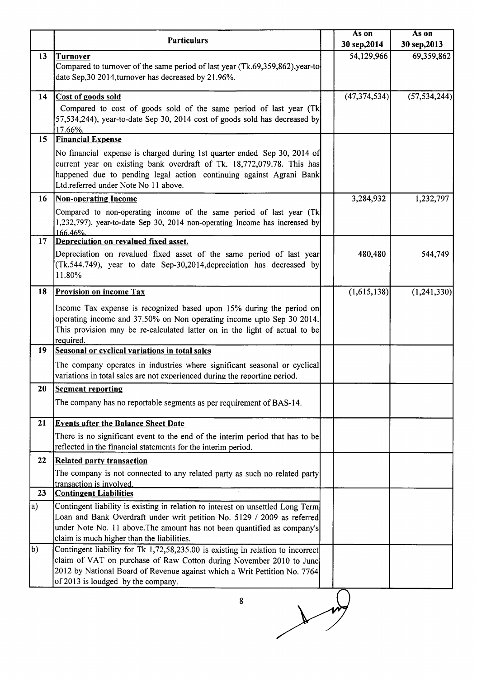|                 | <b>Particulars</b>                                                                                                                                                                                                                                                                            | As on          | As on          |
|-----------------|-----------------------------------------------------------------------------------------------------------------------------------------------------------------------------------------------------------------------------------------------------------------------------------------------|----------------|----------------|
|                 |                                                                                                                                                                                                                                                                                               | 30 sep, 2014   | 30 sep, 2013   |
| 13 <sup>°</sup> | <b>Turnover</b><br>Compared to turnover of the same period of last year (Tk.69,359,862), year-to<br>date Sep, 30 2014, turnover has decreased by 21.96%.                                                                                                                                      | 54,129,966     | 69,359,862     |
| 14              | Cost of goods sold<br>Compared to cost of goods sold of the same period of last year (Tk<br>57,534,244), year-to-date Sep 30, 2014 cost of goods sold has decreased by<br>17.66%.                                                                                                             | (47, 374, 534) | (57, 534, 244) |
| 15              | <b>Financial Expense</b><br>No financial expense is charged during 1st quarter ended Sep 30, 2014 of<br>current year on existing bank overdraft of Tk. 18,772,079.78. This has<br>happened due to pending legal action continuing against Agrani Bank<br>Ltd.referred under Note No 11 above. |                |                |
| 16              | <b>Non-operating Income</b><br>Compared to non-operating income of the same period of last year (Tk<br>1,232,797), year-to-date Sep 30, 2014 non-operating Income has increased by<br>166.46%                                                                                                 | 3,284,932      | 1,232,797      |
| 17 <sub>1</sub> | Depreciation on revalued fixed asset.<br>Depreciation on revalued fixed asset of the same period of last year<br>(Tk.544.749), year to date Sep-30,2014, depreciation has decreased by<br>11.80%                                                                                              | 480,480        | 544,749        |
| 18              | <b>Provision on income Tax</b>                                                                                                                                                                                                                                                                | (1,615,138)    | (1,241,330)    |
|                 | Income Tax expense is recognized based upon 15% during the period on<br>operating income and 37.50% on Non operating income upto Sep 30 2014.<br>This provision may be re-calculated latter on in the light of actual to be<br>required.                                                      |                |                |
| 19              | Seasonal or cyclical variations in total sales                                                                                                                                                                                                                                                |                |                |
|                 | The company operates in industries where significant seasonal or cyclical<br>variations in total sales are not experienced during the reporting period.                                                                                                                                       |                |                |
| 20              | <b>Segment reporting</b>                                                                                                                                                                                                                                                                      |                |                |
|                 | The company has no reportable segments as per requirement of BAS-14.                                                                                                                                                                                                                          |                |                |
| 21              | <b>Events after the Balance Sheet Date</b>                                                                                                                                                                                                                                                    |                |                |
|                 | There is no significant event to the end of the interim period that has to be<br>reflected in the financial statements for the interim period.                                                                                                                                                |                |                |
| 22              | <b>Related party transaction</b><br>The company is not connected to any related party as such no related party<br>transaction is involved.                                                                                                                                                    |                |                |
| 23              | <b>Contingent Liabilities</b>                                                                                                                                                                                                                                                                 |                |                |
| $ a\rangle$     | Contingent liability is existing in relation to interest on unsettled Long Term<br>Loan and Bank Overdraft under writ petition No. 5129 / 2009 as referred<br>under Note No. 11 above. The amount has not been quantified as company's<br>claim is much higher than the liabilities.          |                |                |
| <sub>b</sub>    | Contingent liability for Tk 1,72,58,235.00 is existing in relation to incorrect<br>claim of VAT on purchase of Raw Cotton during November 2010 to June<br>2012 by National Board of Revenue against which a Writ Pettition No. 7764<br>of 2013 is loudged by the company.                     |                |                |
|                 | 8                                                                                                                                                                                                                                                                                             |                |                |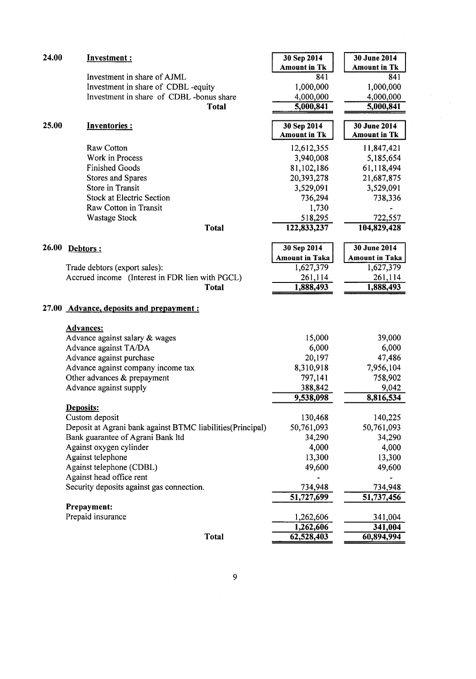| 24.00 | Investment:                                                 | 30 Sep 2014                | 30 June 2014               |
|-------|-------------------------------------------------------------|----------------------------|----------------------------|
|       | Investment in share of AJML                                 | <b>Amount in Tk</b><br>841 | <b>Amount in Tk</b><br>841 |
|       | Investment in share of CDBL-equity                          | 1,000,000                  | 1,000,000                  |
|       | Investment in share of CDBL-bonus share                     | 4,000,000                  | 4,000,000                  |
|       | <b>Total</b>                                                | 5,000,841                  | 5,000,841                  |
|       |                                                             |                            |                            |
| 25.00 | Inventories:                                                | 30 Sep 2014                | 30 June 2014               |
|       |                                                             | Amount in Tk               | <b>Amount in Tk</b>        |
|       | Raw Cotton                                                  | 12,612,355                 | 11,847,421                 |
|       | Work in Process                                             | 3,940,008                  | 5,185,654                  |
|       | <b>Finished Goods</b>                                       | 81,102,186                 | 61,118,494                 |
|       | Stores and Spares                                           | 20,393,278                 | 21,687,875                 |
|       | Store in Transit                                            | 3,529,091                  | 3,529,091                  |
|       | <b>Stock at Electric Section</b>                            | 736,294                    | 738,336                    |
|       | Raw Cotton in Transit                                       | 1,730                      |                            |
|       | <b>Wastage Stock</b>                                        | 518,295                    | 722,557                    |
|       | <b>Total</b>                                                | $\overline{122,833,237}$   | 104,829,428                |
| 26.00 | Debtors:                                                    | 30 Sep 2014                | 30 June 2014               |
|       |                                                             | <b>Amount in Taka</b>      | <b>Amount in Taka</b>      |
|       | Trade debtors (export sales):                               | 1,627,379                  | 1,627,379                  |
|       | Accrued income (Interest in FDR lien with PGCL)             | 261,114                    | 261,114                    |
|       | <b>Total</b>                                                | 1,888,493                  | 1,888,493                  |
|       | 27.00 Advance, deposits and prepayment :                    |                            |                            |
|       | <b>Advances:</b>                                            |                            |                            |
|       | Advance against salary & wages                              | 15,000                     | 39,000                     |
|       | Advance against TA/DA                                       | 6,000                      | 6,000                      |
|       | Advance against purchase                                    | 20,197                     | 47,486                     |
|       | Advance against company income tax                          | 8,310,918                  | 7,956,104                  |
|       | Other advances & prepayment                                 | 797,141                    | 758,902                    |
|       | Advance against supply                                      | 388,842                    | 9,042                      |
|       |                                                             | 9,538,098                  | 8,816,534                  |
|       | Deposits:                                                   |                            |                            |
|       | Custom deposit                                              | 130,468                    | 140,225                    |
|       | Deposit at Agrani bank against BTMC liabilities (Principal) | 50,761,093                 | 50,761,093                 |
|       | Bank guarantee of Agrani Bank ltd                           | 34,290                     | 34,290                     |
|       | Against oxygen cylinder                                     | 4,000                      | 4,000                      |
|       | Against telephone                                           | 13,300                     | 13,300                     |
|       | Against telephone (CDBL)                                    | 49,600                     | 49,600                     |
|       | Against head office rent                                    |                            |                            |
|       | Security deposits against gas connection.                   | 734,948                    | 734,948                    |
|       |                                                             | 51,727,699                 | 51,737,456                 |
|       | Prepayment:                                                 |                            |                            |
|       | Prepaid insurance                                           | 1,262,606                  | 341,004                    |
|       |                                                             | 1,262,606                  | 341,004                    |
|       | Total                                                       | 62,528,403                 | 60,894,994                 |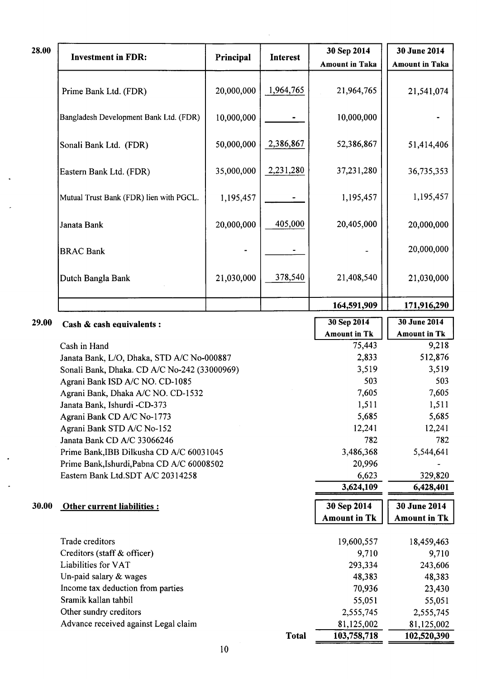| 28.00 | <b>Investment in FDR:</b>                    |            | <b>Interest</b> | 30 Sep 2014           | 30 June 2014          |
|-------|----------------------------------------------|------------|-----------------|-----------------------|-----------------------|
|       |                                              | Principal  |                 | <b>Amount in Taka</b> | <b>Amount in Taka</b> |
|       |                                              |            |                 |                       |                       |
|       | Prime Bank Ltd. (FDR)                        | 20,000,000 | 1,964,765       | 21,964,765            | 21,541,074            |
|       |                                              |            |                 |                       |                       |
|       | Bangladesh Development Bank Ltd. (FDR)       | 10,000,000 |                 | 10,000,000            |                       |
|       |                                              |            |                 |                       |                       |
|       | Sonali Bank Ltd. (FDR)                       | 50,000,000 | 2,386,867       | 52,386,867            | 51,414,406            |
|       | Eastern Bank Ltd. (FDR)                      | 35,000,000 | 2,231,280       | 37,231,280            | 36,735,353            |
|       |                                              |            |                 |                       |                       |
|       | Mutual Trust Bank (FDR) lien with PGCL.      | 1,195,457  |                 | 1,195,457             | 1,195,457             |
|       |                                              |            |                 |                       |                       |
|       | Janata Bank                                  | 20,000,000 | 405,000         | 20,405,000            | 20,000,000            |
|       |                                              |            |                 |                       |                       |
|       | <b>BRAC Bank</b>                             |            |                 |                       | 20,000,000            |
|       |                                              |            |                 |                       |                       |
|       | Dutch Bangla Bank                            | 21,030,000 | 378,540         | 21,408,540            | 21,030,000            |
|       |                                              |            |                 |                       |                       |
|       |                                              |            |                 | 164,591,909           | 171,916,290           |
| 29.00 | Cash & cash equivalents :                    |            |                 |                       | 30 June 2014          |
|       |                                              |            |                 | <b>Amount in Tk</b>   | <b>Amount in Tk</b>   |
|       | Cash in Hand                                 |            |                 | 75,443                | 9,218                 |
|       | Janata Bank, L/O, Dhaka, STD A/C No-000887   |            |                 | 2,833                 | 512,876               |
|       | Sonali Bank, Dhaka. CD A/C No-242 (33000969) |            |                 | 3,519                 | 3,519                 |
|       | Agrani Bank ISD A/C NO. CD-1085              | 503        | 503             |                       |                       |

Agrani Bank ISD A/C NO. CD-1085 Agrani Bank, Dhaka A/C NO. CD-1532 Janata Bank, Ishurdi -CD-373 Agrani Bank CD A/C No-1773 Agrani Bank STD A/C No-152 Janata Bank CD A/C 33066246 Prime Bank,lBB Dilkusha CD A/C 60031045 Prime Bank,Ishurdi,Pabna CD A/C 60008502 Eastern Bank Ltd.SDT A/C 20314258

#### 30.00 Other current liabilities :

|                                      |              | <b>Amount in Tk</b> | <b>Amount in Tk</b> |
|--------------------------------------|--------------|---------------------|---------------------|
|                                      |              |                     |                     |
| Trade creditors                      |              | 19,600,557          | 18,459,463          |
| Creditors (staff & officer)          |              | 9,710               | 9,710               |
| Liabilities for VAT                  |              | 293,334             | 243,606             |
| Un-paid salary $&$ wages             |              | 48,383              | 48,383              |
| Income tax deduction from parties    |              | 70,936              | 23,430              |
| Sramik kallan tahbil                 |              | 55,051              | 55,051              |
| Other sundry creditors               |              | 2,555,745           | 2,555,745           |
| Advance received against Legal claim |              | 81,125,002          | 81,125,002          |
|                                      | <b>Total</b> | 103,758,718         | 102,520,390         |

7,605 l,5ll 5,685 12,241 782 3,486,368 20,996 6,623

30 Sep 2014

7,605 1,51 I 5,685 12,241 782

5,544,641

329,820

30 June 2014

3,624,109 6,428,401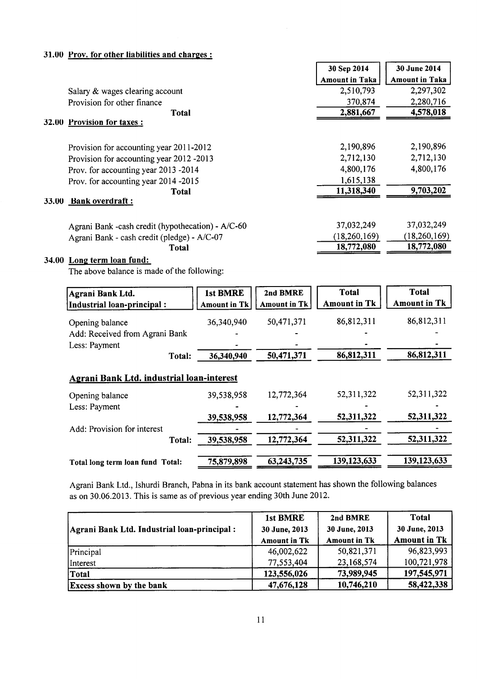#### 31.00 Prov. for other liabilities and charges :

|                                                   | 30 Sep 2014           | 30 June 2014          |
|---------------------------------------------------|-----------------------|-----------------------|
|                                                   | <b>Amount in Taka</b> | <b>Amount in Taka</b> |
| Salary & wages clearing account                   | 2,510,793             | 2,297,302             |
| Provision for other finance                       | 370,874               | 2,280,716             |
| <b>Total</b>                                      | 2,881,667             | 4,578,018             |
| 32.00 Provision for taxes :                       |                       |                       |
|                                                   |                       |                       |
| Provision for accounting year 2011-2012           | 2,190,896             | 2,190,896             |
| Provision for accounting year 2012 -2013          | 2,712,130             | 2,712,130             |
| Prov. for accounting year 2013 -2014              | 4,800,176             | 4,800,176             |
| Prov. for accounting year 2014 -2015              | 1,615,138             |                       |
| Total                                             | 11,318,340            | 9,703,202             |
| <b>Bank overdraft:</b><br>33.00                   |                       |                       |
| Agrani Bank -cash credit (hypothecation) - A/C-60 | 37,032,249            | 37,032,249            |
| Agrani Bank - cash credit (pledge) - A/C-07       | (18, 260, 169)        | (18, 260, 169)        |
| Total                                             | 18,772,080            | 18,772,080            |

#### 34.00 Long term loan fund:

The above balance is made of the following:

| Agrani Bank Ltd.<br>Industrial loan-principal :                               | 1st BMRE<br><b>Amount in Tk</b> | 2nd BMRE<br><b>Amount in Tk</b> | Total<br><b>Amount in Tk</b> | <b>Total</b><br><b>Amount in Tk</b> |
|-------------------------------------------------------------------------------|---------------------------------|---------------------------------|------------------------------|-------------------------------------|
| Opening balance                                                               | 36,340,940                      | 50,471,371                      | 86,812,311                   | 86,812,311                          |
| Add: Received from Agrani Bank                                                |                                 |                                 |                              |                                     |
| Less: Payment                                                                 |                                 |                                 |                              |                                     |
| Total:                                                                        | 36,340,940                      | 50,471,371                      | 86,812,311                   | 86,812,311                          |
| Agrani Bank Ltd. industrial loan-interest<br>Opening balance<br>Less: Payment | 39,538,958                      | 12,772,364                      | 52,311,322                   | 52,311,322                          |
|                                                                               | 39,538,958                      | 12,772,364                      | 52,311,322                   | 52,311,322                          |
| Add: Provision for interest                                                   |                                 |                                 |                              |                                     |
| Total:                                                                        | 39,538,958                      | 12,772,364                      | 52,311,322                   | 52,311,322                          |
| Total long term loan fund Total:                                              | 75,879,898                      | 63,243,735                      | 139,123,633                  | 139,123,633                         |

- Agrani Bank Ltd., Ishurdi Branch, Pabna in its bank account statement has shown the following balances as on 30.06.2013. This is same as of previous year ending 30th June 2012.

|                                             | 1st BMRE            | 2nd BMRE            | Total               |
|---------------------------------------------|---------------------|---------------------|---------------------|
| Agrani Bank Ltd. Industrial loan-principal: | 30 June, 2013       | 30 June, 2013       | 30 June, 2013       |
|                                             | <b>Amount in Tk</b> | <b>Amount in Tk</b> | <b>Amount in Tk</b> |
| Principal                                   | 46,002,622          | 50,821,371          | 96,823,993          |
| Interest                                    | 77,553,404          | 23,168,574          | 100,721,978         |
| Total                                       | 123,556,026         | 73,989,945          | 197,545,971         |
| <b>Excess shown by the bank</b>             | 47,676,128          | 10,746,210          | 58,422,338          |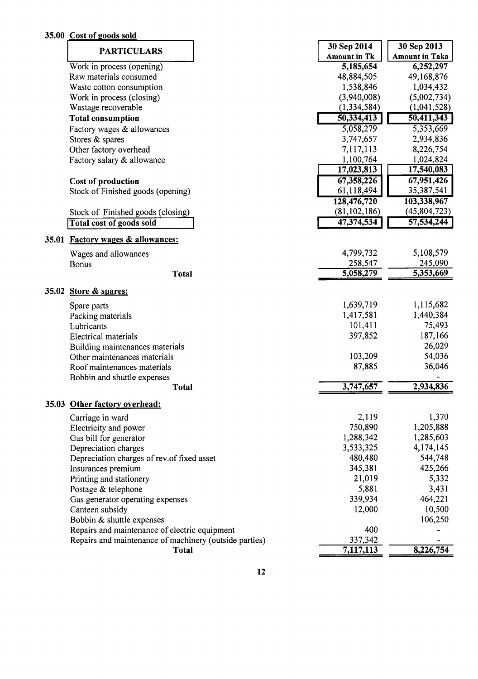|       | 35.00 Cost of goods sold                               |                                    |                                      |
|-------|--------------------------------------------------------|------------------------------------|--------------------------------------|
|       | <b>PARTICULARS</b>                                     | 30 Sep 2014<br><b>Amount in Tk</b> | 30 Sep 2013<br><b>Amount in Taka</b> |
|       | Work in process (opening)                              | 5,185,654                          | 6,252,297                            |
|       | Raw materials consumed                                 | 48,884,505                         | 49,168,876                           |
|       | Waste cotton consumption                               | 1,538,846                          | 1,034,432                            |
|       | Work in process (closing)                              | (3,940,008)                        | (5,002,734)                          |
|       | Wastage recoverable                                    | (1, 334, 584)                      | (1,041,528)                          |
|       | <b>Total consumption</b>                               | 50,334,413                         | 50,411,343                           |
|       | Factory wages & allowances                             | 5,058,279                          | 5,353,669                            |
|       | Stores & spares                                        | 3,747,657                          | 2,934,836                            |
|       | Other factory overhead                                 | 7,117,113                          | 8,226,754                            |
|       |                                                        | 1,100,764                          | 1,024,824                            |
|       | Factory salary & allowance                             | 17,023,813                         | 17,540,083                           |
|       |                                                        |                                    | 67,951,426                           |
|       | Cost of production                                     | 67,358,226                         |                                      |
|       | Stock of Finished goods (opening)                      | 61,118,494                         | 35,387,541                           |
|       |                                                        | 128,476,720                        | 103,338,967                          |
|       | Stock of Finished goods (closing)                      | (81, 102, 186)                     | (45,804,723)                         |
|       | <b>Total cost of goods sold</b>                        | 47,374,534                         | 57,534,244                           |
|       | 35.01 Factory wages & allowances:                      |                                    |                                      |
|       | Wages and allowances                                   | 4,799,732                          | 5,108,579                            |
|       | <b>Bonus</b>                                           | 258,547                            | 245,090                              |
|       | <b>Total</b>                                           | 5,058,279                          | 5,353,669                            |
|       |                                                        |                                    |                                      |
| 35.02 | Store & spares:                                        |                                    |                                      |
|       | Spare parts                                            | 1,639,719                          | 1,115,682                            |
|       | Packing materials                                      | 1,417,581                          | 1,440,384                            |
|       | Lubricants                                             | 101,411                            | 75,493                               |
|       | <b>Electrical materials</b>                            | 397,852                            | 187,166                              |
|       | Building maintenances materials                        |                                    | 26,029                               |
|       | Other maintenances materials                           | 103,209                            | 54,036                               |
|       | Roof maintenances materials                            | 87,885                             | 36,046                               |
|       | Bobbin and shuttle expenses                            |                                    |                                      |
|       | <b>Total</b>                                           | 3,747,657                          | 2,934,836                            |
|       | 35.03 Other factory overhead:                          |                                    |                                      |
|       | Carriage in ward                                       | 2,119                              | 1,370                                |
|       |                                                        | 750,890                            | 1,205,888                            |
|       | Electricity and power                                  | 1,288,342                          | 1,285,603                            |
|       | Gas bill for generator                                 | 3,533,325                          | 4,174,145                            |
|       | Depreciation charges                                   | 480,480                            | 544,748                              |
|       | Depreciation charges of rev. of fixed asset            |                                    |                                      |
|       | Insurances premium                                     | 345,381                            | 425,266                              |
|       | Printing and stationery                                | 21,019                             | 5,332                                |
|       | Postage & telephone                                    | 5,881                              | 3,431                                |
|       | Gas generator operating expenses                       | 339,934                            | 464,221                              |
|       | Canteen subsidy                                        | 12,000                             | 10,500                               |
|       | Bobbin & shuttle expenses                              |                                    | 106,250                              |
|       | Repairs and maintenance of electric equipment          | 400                                |                                      |
|       | Repairs and maintenance of machinery (outside parties) | 337,342                            |                                      |
|       | <b>Total</b>                                           | 7,117,113                          | 8,226,754                            |